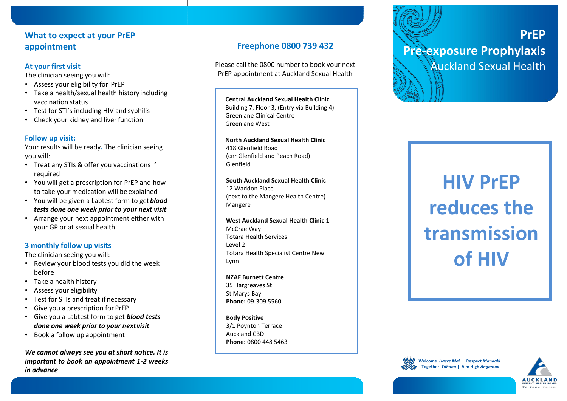### **What to expect at your PrEP appointment**

#### **At your first visit**

The clinician seeing you will:

- Assess your eligibility for PrEP
- Take a health/sexual health history including vaccination status
- Test for STI's including HIV and syphilis
- Check your kidney and liver function

#### **Follow up visit:**

Your results will be ready**.** The clinician seeing you will:

- Treat any STIs & offer you vaccinations if required
- You will get a prescription for PrEP and how to take your medication will be explained
- You will be given a Labtest form to get *blood tests done one week prior to your next visit*
- Arrange your next appointment either with your GP or at sexual health

#### **3 monthly follow up visits**

The clinician seeing you will:

- Review your blood tests you did the week before
- Take a health history
- Assess your eligibility
- Test for STIs and treat if necessary
- Give you a prescription for PrEP
- Give you a Labtest form to get *blood tests done one week prior to your next visit*
- Book a follow up appointment

*We cannot always see you at short notice. It is important to book an appointment 1-2 weeks in advance* 

## **Freephone 0800 739 432**

Please call the 0800 number to book your next PrEP appointment at Auckland Sexual Health

**Central Auckland Sexual Health Clinic**  Building 7, Floor 3, (Entry via Building 4) Greenlane Clinical Centre Greenlane West

**North Auckland Sexual Health Clinic** 418 Glenfield Road (cnr Glenfield and Peach Road) Glenfield

**South Auckland Sexual Health Clinic** 12 Waddon Place (next to the Mangere Health Centre) Mangere

**West Auckland Sexual Health Clinic** 1 McCrae Way Totara Health Services Level 2 Totara Health Specialist Centre New Lynn

**NZAF Burnett Centre** 35 Hargreaves St St Marys Bay **Phone:** 09-309 5560

**Body Positive** 3/1 Poynton Terrace Auckland CBD **Phone:** 0800 448 5463

# **PrEP Pre-exposure Prophylaxis** Auckland Sexual Health

# **HIV PrEP reduces the transmission of HIV**